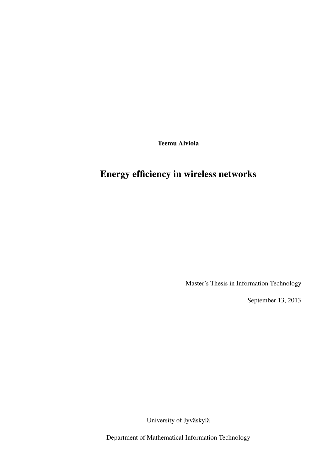Teemu Alviola

# Energy efficiency in wireless networks

Master's Thesis in Information Technology

September 13, 2013

University of Jyväskylä

Department of Mathematical Information Technology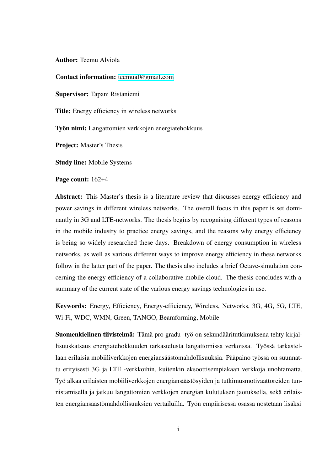Author: Teemu Alviola

Contact information: teemual@gmail.com

Supervisor: Tapani Ristaniemi

Title: Energy efficiency in wireless networks

Työn nimi: Langattomien verkkojen energiatehokkuus

Project: Master's Thesis

Study line: Mobile Systems

Page count: 162+4

Abstract: This Master's thesis is a literature review that discusses energy efficiency and power savings in different wireless networks. The overall focus in this paper is set dominantly in 3G and LTE-networks. The thesis begins by recognising different types of reasons in the mobile industry to practice energy savings, and the reasons why energy efficiency is being so widely researched these days. Breakdown of energy consumption in wireless networks, as well as various different ways to improve energy efficiency in these networks follow in the latter part of the paper. The thesis also includes a brief Octave-simulation concerning the energy efficiency of a collaborative mobile cloud. The thesis concludes with a summary of the current state of the various energy savings technologies in use.

Keywords: Energy, Efficiency, Energy-efficiency, Wireless, Networks, 3G, 4G, 5G, LTE, Wi-Fi, WDC, WMN, Green, TANGO, Beamforming, Mobile

Suomenkielinen tiivistelmä: Tämä pro gradu -työ on sekundääritutkimuksena tehty kirjallisuuskatsaus energiatehokkuuden tarkastelusta langattomissa verkoissa. Työssä tarkastellaan erilaisia mobiiliverkkojen energiansäästömahdollisuuksia. Pääpaino työssä on suunnattu erityisesti 3G ja LTE -verkkoihin, kuitenkin eksoottisempiakaan verkkoja unohtamatta. Työ alkaa erilaisten mobiiliverkkojen energiansäästösyiden ja tutkimusmotivaattoreiden tunnistamisella ja jatkuu langattomien verkkojen energian kulutuksen jaotuksella, sekä erilaisten energiansäästömahdollisuuksien vertailuilla. Työn empiirisessä osassa nostetaan lisäksi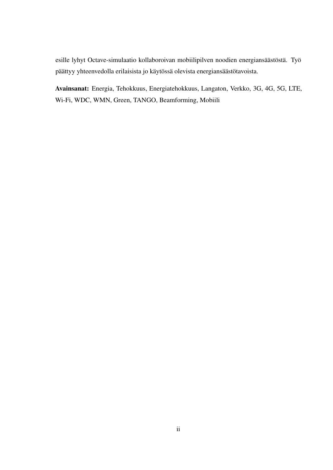esille lyhyt Octave-simulaatio kollaboroivan mobiilipilven noodien energiansäästöstä. Työ päättyy yhteenvedolla erilaisista jo käytössä olevista energiansäästötavoista.

Avainsanat: Energia, Tehokkuus, Energiatehokkuus, Langaton, Verkko, 3G, 4G, 5G, LTE, Wi-Fi, WDC, WMN, Green, TANGO, Beamforming, Mobiili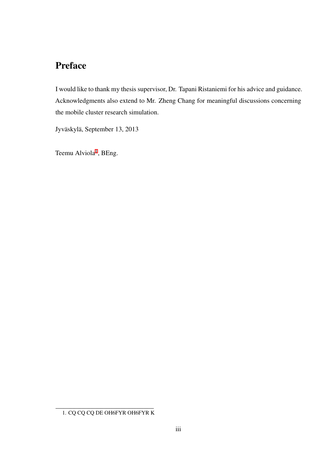## Preface

I would like to thank my thesis supervisor, Dr. Tapani Ristaniemi for his advice and guidance. Acknowledgments also extend to Mr. Zheng Chang for meaningful discussions concerning the mobile cluster research simulation.

Jyväskylä, September 13, 2013

Teemu Alviola<sup>1</sup>, BEng.

<sup>1.</sup> CQ CQ CQ DE OH6FYR OH6FYR K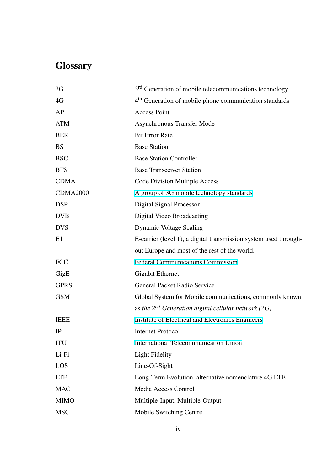# **Glossary**

| 3G              | 3 <sup>rd</sup> Generation of mobile telecommunications technology |
|-----------------|--------------------------------------------------------------------|
| 4G              | 4 <sup>th</sup> Generation of mobile phone communication standards |
| AP              | <b>Access Point</b>                                                |
| <b>ATM</b>      | <b>Asynchronous Transfer Mode</b>                                  |
| <b>BER</b>      | <b>Bit Error Rate</b>                                              |
| <b>BS</b>       | <b>Base Station</b>                                                |
| <b>BSC</b>      | <b>Base Station Controller</b>                                     |
| <b>BTS</b>      | <b>Base Transceiver Station</b>                                    |
| <b>CDMA</b>     | <b>Code Division Multiple Access</b>                               |
| <b>CDMA2000</b> | A group of 3G mobile technology standards                          |
| <b>DSP</b>      | Digital Signal Processor                                           |
| <b>DVB</b>      | Digital Video Broadcasting                                         |
| <b>DVS</b>      | Dynamic Voltage Scaling                                            |
| E1              | E-carrier (level 1), a digital transmission system used through-   |
|                 | out Europe and most of the rest of the world.                      |
| <b>FCC</b>      | <b>Federal Communications Commission</b>                           |
| GigE            | <b>Gigabit Ethernet</b>                                            |
| <b>GPRS</b>     | General Packet Radio Service                                       |
| <b>GSM</b>      | Global System for Mobile communications, commonly known            |
|                 | as the $2^{nd}$ Generation digital cellular network (2G)           |
| <b>IEEE</b>     | Institute of Electrical and Electronics Engineers                  |
| IP              | <b>Internet Protocol</b>                                           |
| <b>ITU</b>      | International Telecommunication Union                              |
| Li-Fi           | <b>Light Fidelity</b>                                              |
| LOS             | Line-Of-Sight                                                      |
| <b>LTE</b>      | Long-Term Evolution, alternative nomenclature 4G LTE               |
| <b>MAC</b>      | Media Access Control                                               |
| <b>MIMO</b>     | Multiple-Input, Multiple-Output                                    |
| <b>MSC</b>      | Mobile Switching Centre                                            |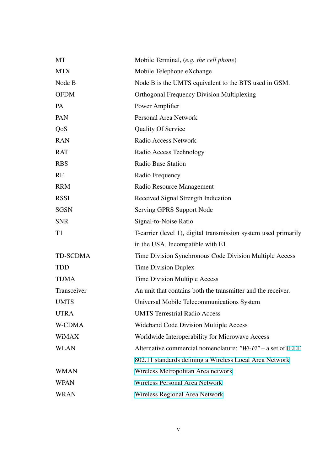| MT              | Mobile Terminal, (e.g. the cell phone)                           |
|-----------------|------------------------------------------------------------------|
| <b>MTX</b>      | Mobile Telephone eXchange                                        |
| Node B          | Node B is the UMTS equivalent to the BTS used in GSM.            |
| <b>OFDM</b>     | <b>Orthogonal Frequency Division Multiplexing</b>                |
| PA              | Power Amplifier                                                  |
| PAN             | <b>Personal Area Network</b>                                     |
| QoS             | <b>Quality Of Service</b>                                        |
| <b>RAN</b>      | Radio Access Network                                             |
| <b>RAT</b>      | Radio Access Technology                                          |
| <b>RBS</b>      | <b>Radio Base Station</b>                                        |
| RF              | Radio Frequency                                                  |
| <b>RRM</b>      | Radio Resource Management                                        |
| <b>RSSI</b>     | Received Signal Strength Indication                              |
| <b>SGSN</b>     | Serving GPRS Support Node                                        |
| <b>SNR</b>      | Signal-to-Noise Ratio                                            |
| T <sub>1</sub>  | T-carrier (level 1), digital transmission system used primarily  |
|                 | in the USA. Incompatible with E1.                                |
| <b>TD-SCDMA</b> | Time Division Synchronous Code Division Multiple Access          |
| <b>TDD</b>      | <b>Time Division Duplex</b>                                      |
| <b>TDMA</b>     | Time Division Multiple Access                                    |
| Transceiver     | An unit that contains both the transmitter and the receiver.     |
| <b>UMTS</b>     | Universal Mobile Telecommunications System                       |
| <b>UTRA</b>     | <b>UMTS Terrestrial Radio Access</b>                             |
| W-CDMA          | Wideband Code Division Multiple Access                           |
| <b>WiMAX</b>    | Worldwide Interoperability for Microwave Access                  |
| <b>WLAN</b>     | Alternative commercial nomenclature: "Wi- $Fi$ " – a set of IEEE |
|                 | 802.11 standards defining a Wireless Local Area Network          |
| <b>WMAN</b>     | Wireless Metropolitan Area network                               |
| <b>WPAN</b>     | Wireless Personal Area Network                                   |
| <b>WRAN</b>     | Wireless Regional Area Network                                   |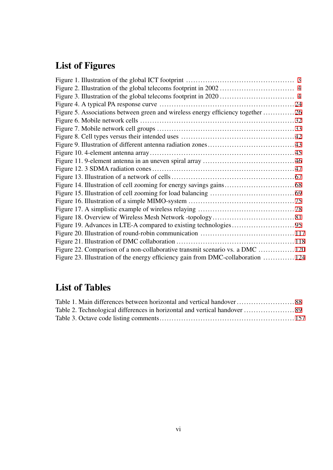# List of Figures

| Figure 5. Associations between green and wireless energy efficiency together 26   |  |
|-----------------------------------------------------------------------------------|--|
|                                                                                   |  |
|                                                                                   |  |
|                                                                                   |  |
|                                                                                   |  |
|                                                                                   |  |
|                                                                                   |  |
|                                                                                   |  |
|                                                                                   |  |
|                                                                                   |  |
|                                                                                   |  |
|                                                                                   |  |
|                                                                                   |  |
|                                                                                   |  |
|                                                                                   |  |
|                                                                                   |  |
|                                                                                   |  |
| Figure 22. Comparison of a non-collaborative transmit scenario vs. a DMC  120     |  |
| Figure 23. Illustration of the energy efficiency gain from DMC-collaboration  124 |  |
|                                                                                   |  |

## List of Tables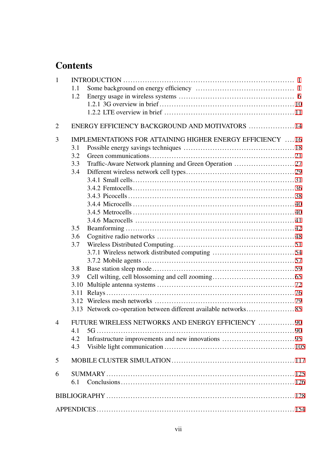## **Contents**

| $\mathbf{1}$   |      |                                                                  |  |
|----------------|------|------------------------------------------------------------------|--|
|                | 1.1  |                                                                  |  |
|                | 1.2  |                                                                  |  |
|                |      |                                                                  |  |
|                |      |                                                                  |  |
| $\overline{2}$ |      | ENERGY EFFICIENCY BACKGROUND AND MOTIVATORS  14                  |  |
| 3              |      | <b>IMPLEMENTATIONS FOR ATTAINING HIGHER ENERGY EFFICIENCY 16</b> |  |
|                | 3.1  |                                                                  |  |
|                | 3.2  |                                                                  |  |
|                | 3.3  |                                                                  |  |
|                | 3.4  |                                                                  |  |
|                |      |                                                                  |  |
|                |      |                                                                  |  |
|                |      |                                                                  |  |
|                |      |                                                                  |  |
|                |      |                                                                  |  |
|                |      |                                                                  |  |
|                | 3.5  |                                                                  |  |
|                | 3.6  |                                                                  |  |
|                | 3.7  |                                                                  |  |
|                |      |                                                                  |  |
|                |      |                                                                  |  |
|                | 3.8  |                                                                  |  |
|                | 3.9  |                                                                  |  |
|                | 3.10 |                                                                  |  |
|                | 3.11 |                                                                  |  |
|                |      |                                                                  |  |
|                |      |                                                                  |  |
|                |      |                                                                  |  |
| $\overline{4}$ |      | FUTURE WIRELESS NETWORKS AND ENERGY EFFICIENCY  90               |  |
|                | 4.1  |                                                                  |  |
|                | 4.2  |                                                                  |  |
|                | 4.3  |                                                                  |  |
| 5              |      |                                                                  |  |
| 6              |      |                                                                  |  |
|                | 6.1  |                                                                  |  |
|                |      |                                                                  |  |
|                |      |                                                                  |  |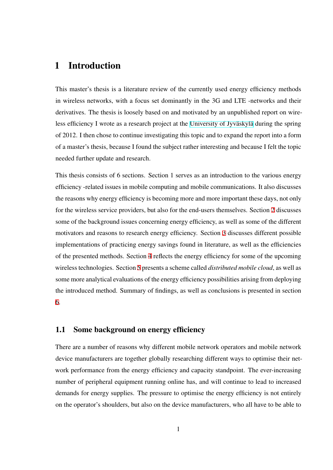### 1 Introduction

<span id="page-9-0"></span>This master's thesis is a literature review of the currently used energy efficiency methods in wireless networks, with a focus set dominantly in the 3G and LTE -networks and their derivatives. The thesis is loosely based on and motivated by an unpublished report on wireless efficiency I wrote as a research project at the University of Jyväskylä during the spring of 2012. I then chose to continue investigating this topic and to expand the report into a form of a master's thesis, because I found the subject ra[ther interesting and beca](https://www.jyu.fi/en)use I felt the topic needed further update and research.

This thesis consists of 6 sections. Section 1 serves as an introduction to the various energy efficiency -related issues in mobile computing and mobile communications. It also discusses the reasons why energy efficiency is becoming more and more important these days, not only for the wireless service providers, but also for the end-users themselves. Section 2 discusses some of the background issues concerning energy efficiency, as well as some of the different motivators and reasons to research energy efficiency. Section 3 discusses differ[en](#page-22-0)t possible implementations of practicing energy savings found in literature, as well as the efficiencies of the presented methods. Section 4 reflects the energy efficie[nc](#page-24-0)y for some of the upcoming wireless technologies. Section 5 presents a scheme called *distributed mobile cloud*, as well as some more analytical evaluations o[f t](#page--1-24)he energy efficiency possibilities arising from deploying the introduced method. Summ[ar](#page--1-24)y of findings, as well as conclusions is presented in section 6.

### [1](#page--1-24).1 Some background on energy efficiency

<span id="page-9-1"></span>There are a number of reasons why different mobile network operators and mobile network device manufacturers are together globally researching different ways to optimise their network performance from the energy efficiency and capacity standpoint. The ever-increasing number of peripheral equipment running online has, and will continue to lead to increased demands for energy supplies. The pressure to optimise the energy efficiency is not entirely on the operator's shoulders, but also on the device manufacturers, who all have to be able to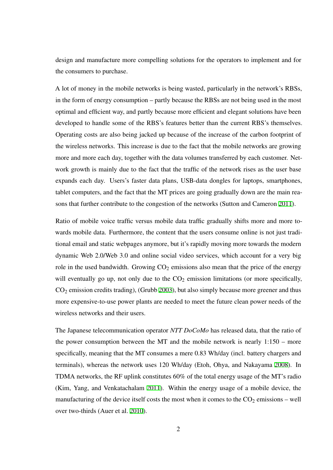design and manufacture more compelling solutions for the operators to implement and for the consumers to purchase.

A lot of money in the mobile networks is being wasted, particularly in the network's RBSs, in the form of energy consumption – partly because the RBSs are not being used in the most optimal and efficient way, and partly because more efficient and elegant solutions have been developed to handle some of the RBS's features better than the current RBS's themselves. Operating costs are also being jacked up because of the increase of the carbon footprint of the wireless networks. This increase is due to the fact that the mobile networks are growing more and more each day, together with the data volumes transferred by each customer. Network growth is mainly due to the fact that the traffic of the network rises as the user base expands each day. Users's faster data plans, USB-data dongles for laptops, smartphones, tablet computers, and the fact that the MT prices are going gradually down are the main reasons that further contribute to the congestion of the networks (Sutton and Cameron 2011).

Ratio of mobile voice traffic versus mobile data traffic gradually shifts more and more towards mobile data. Furthermore, the content that the users consume online is not j[ust tra](#page--1-27)ditional email and static webpages anymore, but it's rapidly moving more towards the modern dynamic Web 2.0/Web 3.0 and online social video services, which account for a very big role in the used bandwidth. Growing  $CO<sub>2</sub>$  emissions also mean that the price of the energy will eventually go up, not only due to the  $CO<sub>2</sub>$  emission limitations (or more specifically,  $CO<sub>2</sub>$  emission credits trading), (Grubb 2003), but also simply because more greener and thus more expensive-to-use power plants are needed to meet the future clean power needs of the wireless networks and their users.

The Japanese telecommunication operator *NTT DoCoMo* has released data, that the ratio of the power consumption between the MT and the mobile network is nearly 1:150 – more specifically, meaning that the MT consumes a mere 0.83 Wh/day (incl. battery chargers and terminals), whereas the network uses 120 Wh/day (Etoh, Ohya, and Nakayama 2008). In TDMA networks, the RF uplink constitutes 60% of the total energy usage of the MT's radio (Kim, Yang, and Venkatachalam 2011). Within the energy usage of a mobile [device](#page--1-37), the manufacturing of the device itself costs the most when it comes to the  $CO<sub>2</sub>$  emissions – well over two-thirds (Auer et al. 2010)[.](#page--1-38)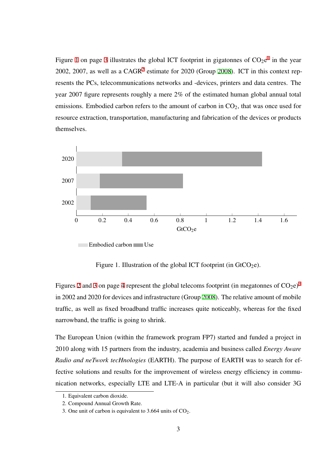Figure 1 on page 3 illustrates the global ICT footprint in gigatonnes of  $CO_2e^1$  in the year 2002, 2007, as well as a  $CAGR<sup>2</sup>$  estimate for 2020 (Group 2008). ICT in this context represents [th](#page-11-0)e PCs, t[ele](#page-11-0)communications networks and -devices, printers and data [c](#page-11-1)entres. The year 2007 figure represents rou[gh](#page-11-2)ly a mere 2% of the estim[ated h](#page--1-39)uman global annual total emissions. Embodied carbon refers to the amount of carbon in  $CO<sub>2</sub>$ , that was once used for resource extraction, transportation, manufacturing and fabrication of the devices or products themselves.



<span id="page-11-0"></span>Figure 1. Illustration of the global ICT footprint (in  $G(CO_2e)$ .

Figures 2 and 3 on page 4 represent the global telecoms footprint (in megatonnes of  $CO_2e$ )<sup>3</sup> in 2002 and 2020 for devices and infrastructure (Group 2008). The relative amount of mobile traffic, [as](#page-12-0) wel[l](#page-12-1) as fixed [br](#page-12-0)oadband traffic increases quite noticeably, whereas for the fixe[d](#page-11-3) narrowband, the traffic is going to shrink.

The European Union (within the framework program FP7) started and funded a project in 2010 along with 15 partners from the industry, academia and business called *Energy Aware Radio and neTwork tecHnologies* (EARTH). The purpose of EARTH was to search for effective solutions and results for the improvement of wireless energy efficiency in communication networks, especially LTE and LTE-A in particular (but it will also consider 3G

<sup>1.</sup> Equivalent carbon dioxide.

<sup>2.</sup> Compound Annual Growth Rate.

<span id="page-11-3"></span><span id="page-11-2"></span><span id="page-11-1"></span><sup>3.</sup> One unit of carbon is equivalent to  $3.664$  units of  $CO<sub>2</sub>$ .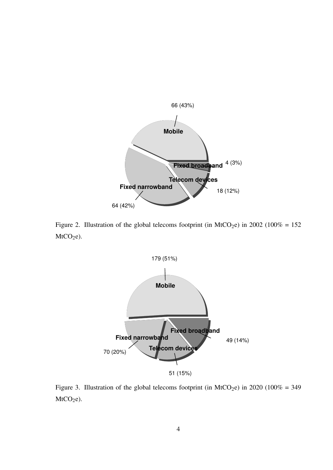

<span id="page-12-0"></span>Figure 2. Illustration of the global telecoms footprint (in MtCO<sub>2</sub>e) in 2002 (100% = 152  $MtCO<sub>2</sub>e$ ).



<span id="page-12-1"></span>Figure 3. Illustration of the global telecoms footprint (in MtCO<sub>2</sub>e) in 2020 (100% = 349  $MtCO<sub>2</sub>e$ ).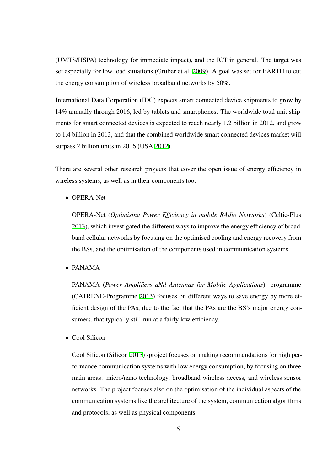(UMTS/HSPA) technology for immediate impact), and the ICT in general. The target was set especially for low load situations (Gruber et al. 2009). A goal was set for EARTH to cut the energy consumption of wireless broadband networks by 50%.

International Data Corporation (IDC) expects smar[t conn](#page--1-37)ected device shipments to grow by 14% annually through 2016, led by tablets and smartphones. The worldwide total unit shipments for smart connected devices is expected to reach nearly 1.2 billion in 2012, and grow to 1.4 billion in 2013, and that the combined worldwide smart connected devices market will surpass 2 billion units in 2016 (USA 2012).

There are several other research pro[jects](#page--1-40) that cover the open issue of energy efficiency in wireless systems, as well as in their components too:

*•* OPERA-Net

OPERA-Net (*Optimising Power Efficiency in mobile RAdio Networks*) (Celtic-Plus 2013), which investigated the different ways to improve the energy efficiency of broadband cellular networks by focusing on the optimised cooling and energy recovery from [the B](#page--1-41)Ss, and the optimisation of the components used in communication systems.

*•* PANAMA

PANAMA (*Power Amplifiers aNd Antennas for Mobile Applications*) -programme (CATRENE-Programme 2013) focuses on different ways to save energy by more efficient design of the PAs, due to the fact that the PAs are the BS's major energy consumers, that typically stil[l run](#page--1-42) at a fairly low efficiency.

*•* Cool Silicon

Cool Silicon (Silicon 2013) -project focuses on making recommendations for high performance communication systems with low energy consumption, by focusing on three main areas: micro/n[ano te](#page--1-43)chnology, broadband wireless access, and wireless sensor networks. The project focuses also on the optimisation of the individual aspects of the communication systems like the architecture of the system, communication algorithms and protocols, as well as physical components.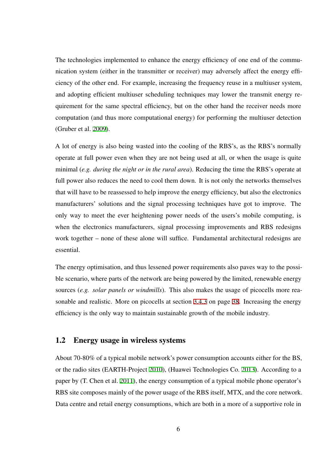The technologies implemented to enhance the energy efficiency of one end of the communication system (either in the transmitter or receiver) may adversely affect the energy efficiency of the other end. For example, increasing the frequency reuse in a multiuser system, and adopting efficient multiuser scheduling techniques may lower the transmit energy requirement for the same spectral efficiency, but on the other hand the receiver needs more computation (and thus more computational energy) for performing the multiuser detection (Gruber et al. 2009).

A lot of energy is also being wasted into the cooling of the RBS's, as the RBS's normally operate at ful[l pow](#page--1-37)er even when they are not being used at all, or when the usage is quite minimal (*e.g. during the night or in the rural area*). Reducing the time the RBS's operate at full power also reduces the need to cool them down. It is not only the networks themselves that will have to be reassessed to help improve the energy efficiency, but also the electronics manufacturers' solutions and the signal processing techniques have got to improve. The only way to meet the ever heightening power needs of the users's mobile computing, is when the electronics manufacturers, signal processing improvements and RBS redesigns work together – none of these alone will suffice. Fundamental architectural redesigns are essential.

The energy optimisation, and thus lessened power requirements also paves way to the possible scenario, where parts of the network are being powered by the limited, renewable energy sources (*e.g. solar panels or windmills*). This also makes the usage of picocells more reasonable and realistic. More on picocells at section 3.4.3 on page 38. Increasing the energy efficiency is the only way to maintain sustainable growth of the mobile industry.

### 1.2 Energy usage in wireless systems

<span id="page-14-0"></span>About 70-80% of a typical mobile network's power consumption accounts either for the BS, or the radio sites (EARTH-Project 2010), (Huawei Technologies Co. 2013). According to a paper by (T. Chen et al. 2011), the energy consumption of a typical mobile phone operator's RBS site composes mainly of the p[ower](#page--1-44) usage of the RBS itself, MT[X, and](#page--1-45) the core network. Data centre and retail e[nergy](#page--1-24) consumptions, which are both in a more of a supportive role in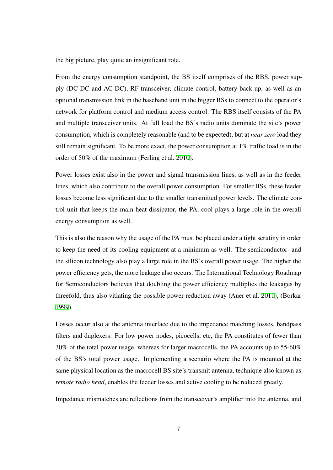the big picture, play quite an insignificant role.

From the energy consumption standpoint, the BS itself comprises of the RBS, power supply (DC-DC and AC-DC), RF-transceiver, climate control, battery back-up, as well as an optional transmission link in the baseband unit in the bigger BSs to connect to the operator's network for platform control and medium access control. The RBS itself consists of the PA and multiple transceiver units. At full load the BS's radio units dominate the site's power consumption, which is completely reasonable (and to be expected), but at *near zero* load they still remain significant. To be more exact, the power consumption at 1% traffic load is in the order of 50% of the maximum (Ferling et al. 2010).

Power losses exist also in the power and signal transmission lines, as well as in the feeder lines, which also contribute to the overall po[wer co](#page--1-46)nsumption. For smaller BSs, these feeder losses become less significant due to the smaller transmitted power levels. The climate control unit that keeps the main heat dissipator, the PA, cool plays a large role in the overall energy consumption as well.

This is also the reason why the usage of the PA must be placed under a tight scrutiny in order to keep the need of its cooling equipment at a minimum as well. The semiconductor- and the silicon technology also play a large role in the BS's overall power usage. The higher the power efficiency gets, the more leakage also occurs. The International Technology Roadmap for Semiconductors believes that doubling the power efficiency multiplies the leakages by threefold, thus also vitiating the possible power reduction away (Auer et al. 2011), (Borkar 1999).

Losses occur also at the antenna interface due to the impedance matching l[osses,](#page--1-47) bandpass [filters](#page--1-48) and duplexers. For low power nodes, picocells, etc, the PA constitutes of fewer than 30% of the total power usage, whereas for larger macrocells, the PA accounts up to 55-60% of the BS's total power usage. Implementing a scenario where the PA is mounted at the same physical location as the macrocell BS site's transmit antenna, technique also known as *remote radio head*, enables the feeder losses and active cooling to be reduced greatly.

Impedance mismatches are reflections from the transceiver's amplifier into the antenna, and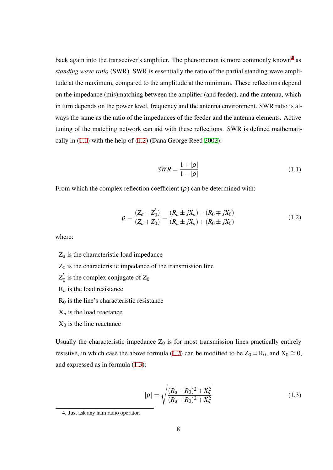back again into the transceiver's amplifier. The phenomenon is more commonly known<sup>4</sup> as *standing wave ratio* (SWR). SWR is essentially the ratio of the partial standing wave amplitude at the maximum, compared to the amplitude at the minimum. These reflections de[pe](#page-16-0)nd on the impedance (mis)matching between the amplifier (and feeder), and the antenna, which in turn depends on the power level, frequency and the antenna environment. SWR ratio is always the same as the ratio of the impedances of the feeder and the antenna elements. Active tuning of the matching network can aid with these reflections. SWR is defined mathematically in (1.1) with the help of (1.2) (Dana George Reed 2002):

$$
SWR = \frac{1 + |\rho|}{1 - |\rho|} \tag{1.1}
$$

From which the complex reflection coefficient  $(\rho)$  can be determined with:

$$
\rho = \frac{(Z_a - Z'_0)}{(Z_a + Z_0)} = \frac{(R_a \pm jX_a) - (R_0 \mp jX_0)}{(R_a \pm jX_a) + (R_0 \pm jX_0)}
$$
(1.2)

where:

- $Z_a$  is the characteristic load impedance
- $Z_0$  is the characteristic impedance of the transmission line
- $Z_0^{'}$  is the complex conjugate of  $Z_0$
- R*<sup>a</sup>* is the load resistance
- $R_0$  is the line's characteristic resistance
- $X_a$  is the load reactance
- $X_0$  is the line reactance

Usually the characteristic impedance  $Z_0$  is for most transmission lines practically entirely resistive, in which case the above formula (1.2) can be modified to be  $Z_0 = R_0$ , and  $X_0 \cong 0$ , and expressed as in formula (1.3):

$$
|\rho| = \sqrt{\frac{(R_a - R_0)^2 + X_a^2}{(R_a + R_0)^2 + X_a^2}}
$$
\n(1.3)

<span id="page-16-0"></span><sup>4.</sup> Just ask any ham radio operator.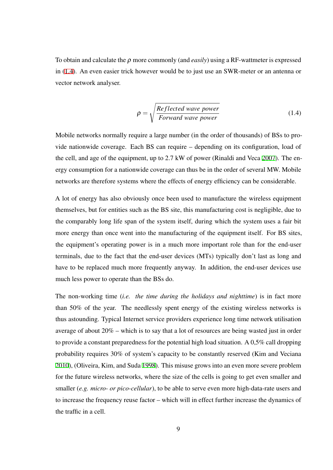To obtain and calculate the ρ more commonly (and *easily*) using a RF-wattmeter is expressed in (1.4). An even easier trick however would be to just use an SWR-meter or an antenna or vector network analyser.

$$
\rho = \sqrt{\frac{Reflected\ wave\ power}{Forward\ wave\ power}}
$$
\n(1.4)

Mobile networks normally require a large number (in the order of thousands) of BSs to provide nationwide coverage. Each BS can require – depending on its configuration, load of the cell, and age of the equipment, up to 2.7 kW of power (Rinaldi and Veca 2007). The energy consumption for a nationwide coverage can thus be in the order of several MW. Mobile networks are therefore systems where the effects of energy efficiency can be [consid](#page--1-49)erable.

A lot of energy has also obviously once been used to manufacture the wireless equipment themselves, but for entities such as the BS site, this manufacturing cost is negligible, due to the comparably long life span of the system itself, during which the system uses a fair bit more energy than once went into the manufacturing of the equipment itself. For BS sites, the equipment's operating power is in a much more important role than for the end-user terminals, due to the fact that the end-user devices (MTs) typically don't last as long and have to be replaced much more frequently anyway. In addition, the end-user devices use much less power to operate than the BSs do.

The non-working time (*i.e. the time during the holidays and nighttime*) is in fact more than 50% of the year. The needlessly spent energy of the existing wireless networks is thus astounding. Typical Internet service providers experience long time network utilisation average of about 20% – which is to say that a lot of resources are being wasted just in order to provide a constant preparedness for the potential high load situation. A 0,5% call dropping probability requires 30% of system's capacity to be constantly reserved (Kim and Veciana 2010), (Oliveira, Kim, and Suda 1998). This misuse grows into an even more severe problem for the future wireless networks, where the size of the cells is going to get even smaller and [small](#page--1-48)er (*e.g. micro- or pico-cell[ular](#page--1-26)*), to be able to serve even more high-data-rate users and to increase the frequency reuse factor – which will in effect further increase the dynamics of the traffic in a cell.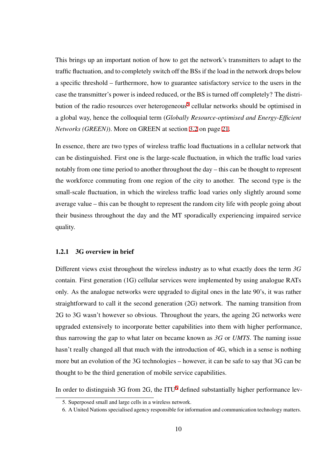This brings up an important notion of how to get the network's transmitters to adapt to the traffic fluctuation, and to completely switch off the BSs if the load in the network drops below a specific threshold – furthermore, how to guarantee satisfactory service to the users in the case the transmitter's power is indeed reduced, or the BS is turned off completely? The distribution of the radio resources over heterogeneous<sup>5</sup> cellular networks should be optimised in a global way, hence the colloquial term (*Globally Resource-optimised and Energy-Efficient Networks (GREEN)*). More on GREEN at sectio[n](#page-18-0) 3.2 on page 21.

In essence, there are two types of wireless traffic load fluctuations in a cellular network that can be distinguished. First one is the large-scale [fluct](#page--1-18)uation, i[n w](#page--1-18)hich the traffic load varies notably from one time period to another throughout the day – this can be thought to represent the workforce commuting from one region of the city to another. The second type is the small-scale fluctuation, in which the wireless traffic load varies only slightly around some average value – this can be thought to represent the random city life with people going about their business throughout the day and the MT sporadically experiencing impaired service quality.

### 1.2.1 3G overview in brief

Different views exist throughout the wireless industry as to what exactly does the term *3G* contain. First generation (1G) cellular services were implemented by using analogue RATs only. As the analogue networks were upgraded to digital ones in the late 90's, it was rather straightforward to call it the second generation (2G) network. The naming transition from 2G to 3G wasn't however so obvious. Throughout the years, the ageing 2G networks were upgraded extensively to incorporate better capabilities into them with higher performance, thus narrowing the gap to what later on became known as *3G* or *UMTS*. The naming issue hasn't really changed all that much with the introduction of 4G, which in a sense is nothing more but an evolution of the 3G technologies – however, it can be safe to say that 3G can be thought to be the third generation of mobile service capabilities.

In order to distinguish 3G from  $2G$ , the ITU<sup>6</sup> defined substantially higher performance lev-

<sup>5.</sup> Superposed small and large cells in a wireless network.

<span id="page-18-0"></span><sup>6.</sup> A United Nations specialised agency responsible for information and communication technology matters.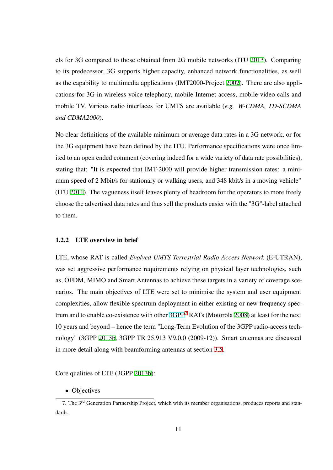els for 3G compared to those obtained from 2G mobile networks (ITU 2013). Comparing to its predecessor, 3G supports higher capacity, enhanced network functionalities, as well as the capability to multimedia applications (IMT2000-Project 2002). T[here a](#page--1-50)re also applications for 3G in wireless voice telephony, mobile Internet access, mobile video calls and mobile TV. Various radio interfaces for UMTS are available (*[e.g. W](#page--1-51)-CDMA, TD-SCDMA and CDMA2000*).

No clear definitions of the available minimum or average data rates in a 3G network, or for the 3G equipment have been defined by the ITU. Performance specifications were once limited to an open ended comment (covering indeed for a wide variety of data rate possibilities), stating that: "It is expected that IMT-2000 will provide higher transmission rates: a minimum speed of 2 Mbit/s for stationary or walking users, and 348 kbit/s in a moving vehicle" (ITU 2011). The vagueness itself leaves plenty of headroom for the operators to more freely choose the advertised data rates and thus sell the products easier with the "3G"-label attached to th[em.](#page--1-26)

#### 1.2.2 LTE overview in brief

<span id="page-19-0"></span>LTE, whose RAT is called *Evolved UMTS Terrestrial Radio Access Network* (E-UTRAN), was set aggressive performance requirements relying on physical layer technologies, such as, OFDM, MIMO and Smart Antennas to achieve these targets in a variety of coverage scenarios. The main objectives of LTE were set to minimise the system and user equipment complexities, allow flexible spectrum deployment in either existing or new frequency spectrum and to enable co-existence with other  $3GPP<sup>7</sup> RATs$  (Motorola 2008) at least for the next 10 years and beyond – hence the term "Long-Term Evolution of the 3GPP radio-access technology" (3GPP 2013b, 3GPP TR 25.913 [V9.0.](http://www.3gpp.org/)[0](#page-19-1) (2009-12)). Sma[rt ant](#page--1-52)ennas are discussed in more detail along with beamforming antennas at section 3.5.

Core qualities of LTE (3GPP 2013b):

*•* Objectives

<span id="page-19-1"></span><sup>7.</sup> The 3<sup>rd</sup> Generation Partnersh[ip Proje](#page--1-53)ct, which with its member organisations, produces reports and standards.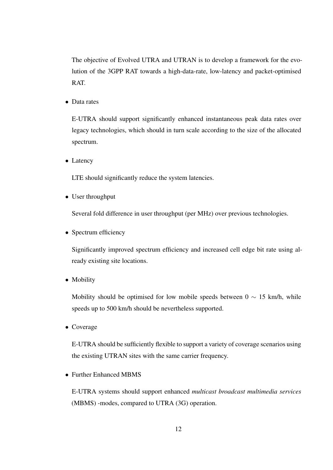The objective of Evolved UTRA and UTRAN is to develop a framework for the evolution of the 3GPP RAT towards a high-data-rate, low-latency and packet-optimised RAT.

*•* Data rates

E-UTRA should support significantly enhanced instantaneous peak data rates over legacy technologies, which should in turn scale according to the size of the allocated spectrum.

*•* Latency

LTE should significantly reduce the system latencies.

*•* User throughput

Several fold difference in user throughput (per MHz) over previous technologies.

• Spectrum efficiency

Significantly improved spectrum efficiency and increased cell edge bit rate using already existing site locations.

*•* Mobility

Mobility should be optimised for low mobile speeds between 0 *∼* 15 km/h, while speeds up to 500 km/h should be nevertheless supported.

*•* Coverage

E-UTRA should be sufficiently flexible to support a variety of coverage scenarios using the existing UTRAN sites with the same carrier frequency.

*•* Further Enhanced MBMS

E-UTRA systems should support enhanced *multicast broadcast multimedia services* (MBMS) -modes, compared to UTRA (3G) operation.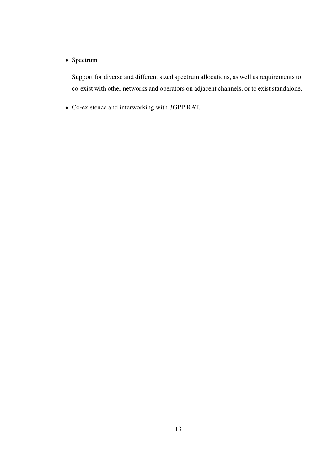*•* Spectrum

Support for diverse and different sized spectrum allocations, as well as requirements to co-exist with other networks and operators on adjacent channels, or to exist standalone.

*•* Co-existence and interworking with 3GPP RAT.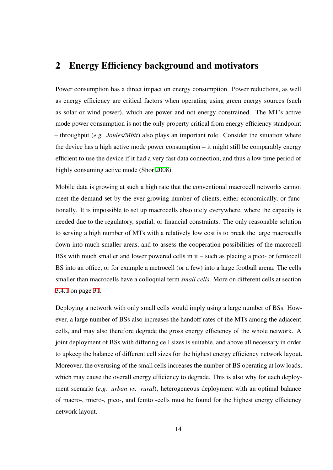### 2 Energy Efficiency background and motivators

<span id="page-22-0"></span>Power consumption has a direct impact on energy consumption. Power reductions, as well as energy efficiency are critical factors when operating using green energy sources (such as solar or wind power), which are power and not energy constrained. The MT's active mode power consumption is not the only property critical from energy efficiency standpoint – throughput (*e.g. Joules/Mbit*) also plays an important role. Consider the situation where the device has a high active mode power consumption – it might still be comparably energy efficient to use the device if it had a very fast data connection, and thus a low time period of highly consuming active mode (Shor 2008).

Mobile data is growing at such a high rate that the conventional macrocell networks cannot meet the demand set by the ever gr[owing](#page--1-54) number of clients, either economically, or functionally. It is impossible to set up macrocells absolutely everywhere, where the capacity is needed due to the regulatory, spatial, or financial constraints. The only reasonable solution to serving a high number of MTs with a relatively low cost is to break the large macrocells down into much smaller areas, and to assess the cooperation possibilities of the macrocell BSs with much smaller and lower powered cells in it – such as placing a pico- or femtocell BS into an office, or for example a metrocell (or a few) into a large football arena. The cells smaller than macrocells have a colloquial term *small cells*. More on different cells at section 3.4.1 on page 31.

Deploying a network with only small cells would imply using a large number of BSs. How[ever,](#page--1-21) a large n[um](#page--1-21)ber of BSs also increases the handoff rates of the MTs among the adjacent cells, and may also therefore degrade the gross energy efficiency of the whole network. A joint deployment of BSs with differing cell sizes is suitable, and above all necessary in order to upkeep the balance of different cell sizes for the highest energy efficiency network layout. Moreover, the overusing of the small cells increases the number of BS operating at low loads, which may cause the overall energy efficiency to degrade. This is also why for each deployment scenario (*e.g. urban vs. rural*), heterogeneous deployment with an optimal balance of macro-, micro-, pico-, and femto -cells must be found for the highest energy efficiency network layout.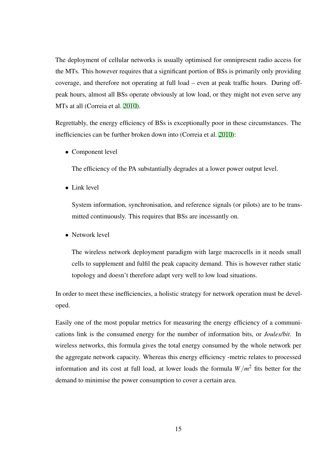The deployment of cellular networks is usually optimised for omnipresent radio access for the MTs. This however requires that a significant portion of BSs is primarily only providing coverage, and therefore not operating at full load – even at peak traffic hours. During offpeak hours, almost all BSs operate obviously at low load, or they might not even serve any MTs at all (Correia et al. 2010).

Regrettably, the energy efficiency of BSs is exceptionally poor in these circumstances. The inefficiencies can be furt[her br](#page--1-55)oken down into (Correia et al. 2010):

*•* Component level

The efficiency of the PA substantially degrades at a lower power output level.

*•* Link level

System information, synchronisation, and reference signals (or pilots) are to be transmitted continuously. This requires that BSs are incessantly on.

*•* Network level

The wireless network deployment paradigm with large macrocells in it needs small cells to supplement and fulfil the peak capacity demand. This is however rather static topology and doesn't therefore adapt very well to low load situations.

In order to meet these inefficiencies, a holistic strategy for network operation must be developed.

Easily one of the most popular metrics for measuring the energy efficiency of a communications link is the consumed energy for the number of information bits, or *Joules/bit*. In wireless networks, this formula gives the total energy consumed by the whole network per the aggregate network capacity. Whereas this energy efficiency -metric relates to processed information and its cost at full load, at lower loads the formula  $W/m^2$  fits better for the demand to minimise the power consumption to cover a certain area.